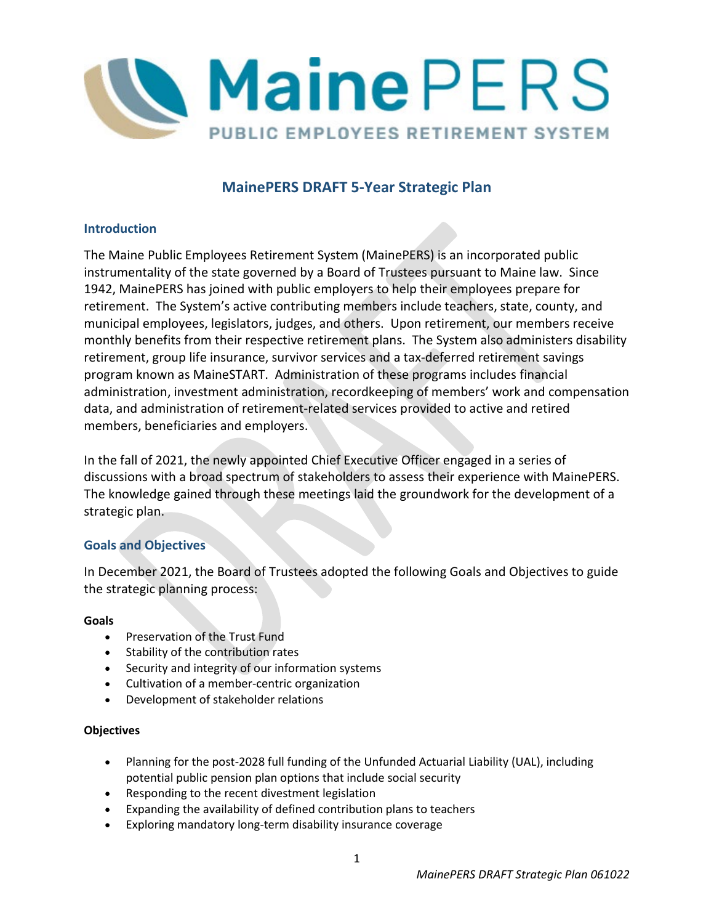

# **MainePERS DRAFT 5-Year Strategic Plan**

# **Introduction**

The Maine Public Employees Retirement System (MainePERS) is an incorporated public instrumentality of the state governed by a Board of Trustees pursuant to Maine law. Since 1942, MainePERS has joined with public employers to help their employees prepare for retirement. The System's active contributing members include teachers, state, county, and municipal employees, legislators, judges, and others. Upon retirement, our members receive monthly benefits from their respective retirement plans. The System also administers disability retirement, group life insurance, survivor services and a tax-deferred retirement savings program known as MaineSTART. Administration of these programs includes financial administration, investment administration, recordkeeping of members' work and compensation data, and administration of retirement-related services provided to active and retired members, beneficiaries and employers.

In the fall of 2021, the newly appointed Chief Executive Officer engaged in a series of discussions with a broad spectrum of stakeholders to assess their experience with MainePERS. The knowledge gained through these meetings laid the groundwork for the development of a strategic plan.

# **Goals and Objectives**

In December 2021, the Board of Trustees adopted the following Goals and Objectives to guide the strategic planning process:

### **Goals**

- Preservation of the Trust Fund
- Stability of the contribution rates
- Security and integrity of our information systems
- Cultivation of a member-centric organization
- Development of stakeholder relations

### **Objectives**

- Planning for the post-2028 full funding of the Unfunded Actuarial Liability (UAL), including potential public pension plan options that include social security
- Responding to the recent divestment legislation
- Expanding the availability of defined contribution plans to teachers
- Exploring mandatory long-term disability insurance coverage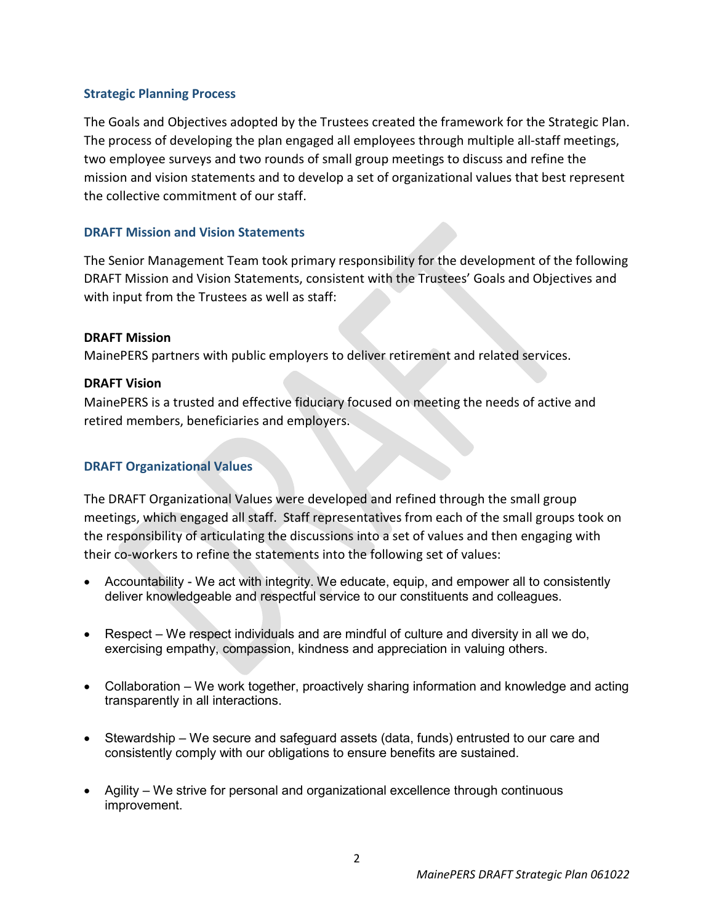### **Strategic Planning Process**

The Goals and Objectives adopted by the Trustees created the framework for the Strategic Plan. The process of developing the plan engaged all employees through multiple all-staff meetings, two employee surveys and two rounds of small group meetings to discuss and refine the mission and vision statements and to develop a set of organizational values that best represent the collective commitment of our staff.

### **DRAFT Mission and Vision Statements**

The Senior Management Team took primary responsibility for the development of the following DRAFT Mission and Vision Statements, consistent with the Trustees' Goals and Objectives and with input from the Trustees as well as staff:

### **DRAFT Mission**

MainePERS partners with public employers to deliver retirement and related services.

### **DRAFT Vision**

MainePERS is a trusted and effective fiduciary focused on meeting the needs of active and retired members, beneficiaries and employers.

# **DRAFT Organizational Values**

The DRAFT Organizational Values were developed and refined through the small group meetings, which engaged all staff. Staff representatives from each of the small groups took on the responsibility of articulating the discussions into a set of values and then engaging with their co-workers to refine the statements into the following set of values:

- Accountability We act with integrity. We educate, equip, and empower all to consistently deliver knowledgeable and respectful service to our constituents and colleagues.
- Respect We respect individuals and are mindful of culture and diversity in all we do, exercising empathy, compassion, kindness and appreciation in valuing others.
- Collaboration We work together, proactively sharing information and knowledge and acting transparently in all interactions.
- Stewardship We secure and safeguard assets (data, funds) entrusted to our care and consistently comply with our obligations to ensure benefits are sustained.
- Agility We strive for personal and organizational excellence through continuous improvement.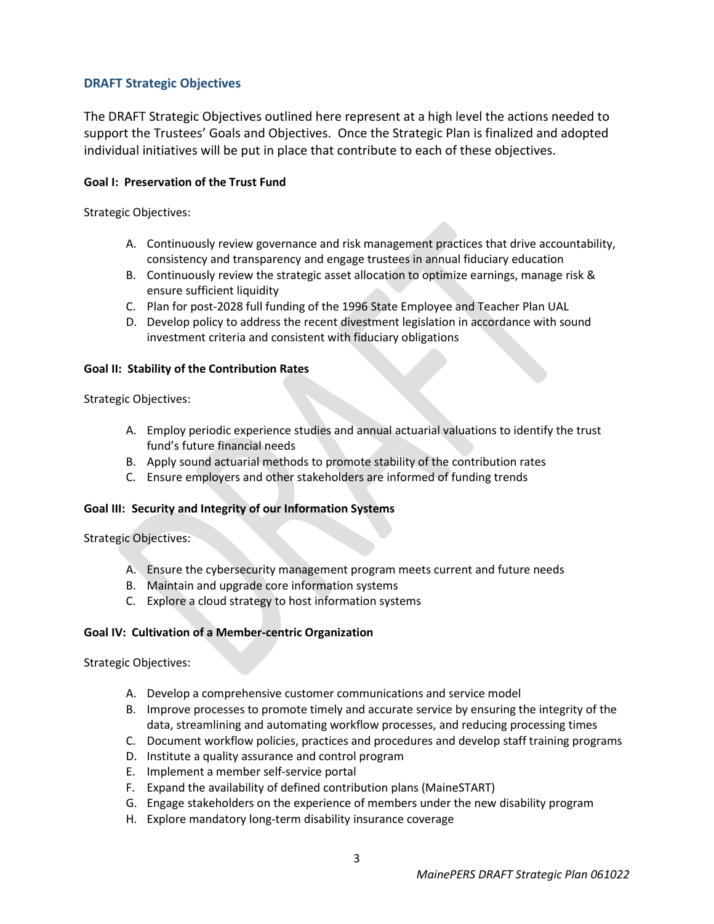# **DRAFT Strategic Objectives**

The DRAFT Strategic Objectives outlined here represent at a high level the actions needed to support the Trustees' Goals and Objectives. Once the Strategic Plan is finalized and adopted individual initiatives will be put in place that contribute to each of these objectives.

### **Goal I: Preservation of the Trust Fund**

Strategic Objectives:

- A. Continuously review governance and risk management practices that drive accountability, consistency and transparency and engage trustees in annual fiduciary education
- B. Continuously review the strategic asset allocation to optimize earnings, manage risk & ensure sufficient liquidity
- C. Plan for post-2028 full funding of the 1996 State Employee and Teacher Plan UAL
- D. Develop policy to address the recent divestment legislation in accordance with sound investment criteria and consistent with fiduciary obligations

### **Goal II: Stability of the Contribution Rates**

Strategic Objectives:

- A. Employ periodic experience studies and annual actuarial valuations to identify the trust fund's future financial needs
- B. Apply sound actuarial methods to promote stability of the contribution rates
- C. Ensure employers and other stakeholders are informed of funding trends

### **Goal III: Security and Integrity of our Information Systems**

Strategic Objectives:

- A. Ensure the cybersecurity management program meets current and future needs
- B. Maintain and upgrade core information systems
- C. Explore a cloud strategy to host information systems

### **Goal IV: Cultivation of a Member-centric Organization**

Strategic Objectives:

- A. Develop a comprehensive customer communications and service model
- B. Improve processes to promote timely and accurate service by ensuring the integrity of the data, streamlining and automating workflow processes, and reducing processing times
- C. Document workflow policies, practices and procedures and develop staff training programs
- D. Institute a quality assurance and control program
- E. Implement a member self-service portal
- F. Expand the availability of defined contribution plans (MaineSTART)
- G. Engage stakeholders on the experience of members under the new disability program
- H. Explore mandatory long-term disability insurance coverage